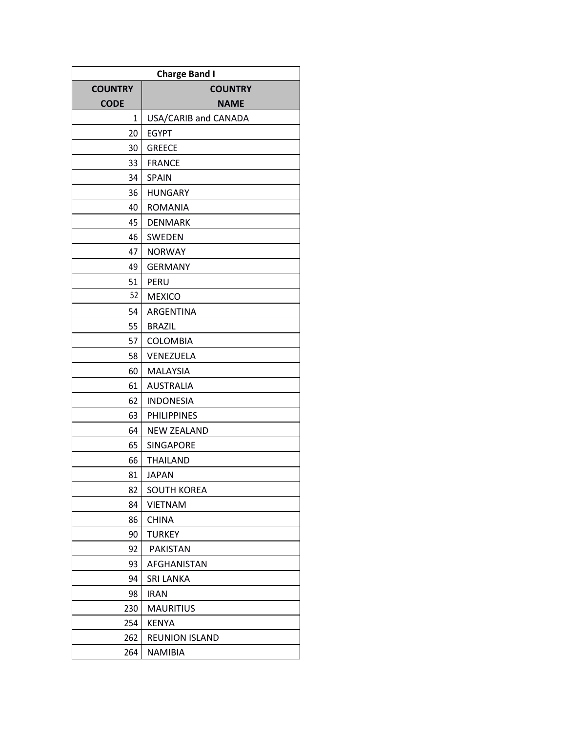| <b>Charge Band I</b> |                       |
|----------------------|-----------------------|
| <b>COUNTRY</b>       | <b>COUNTRY</b>        |
| <b>CODE</b>          | <b>NAME</b>           |
| 1                    | USA/CARIB and CANADA  |
| 20                   | <b>EGYPT</b>          |
| 30                   | <b>GREECE</b>         |
| 33                   | <b>FRANCE</b>         |
| 34                   | <b>SPAIN</b>          |
| 36                   | <b>HUNGARY</b>        |
| 40                   | <b>ROMANIA</b>        |
| 45                   | <b>DENMARK</b>        |
| 46                   | SWEDEN                |
| 47                   | <b>NORWAY</b>         |
| 49                   | <b>GERMANY</b>        |
| 51                   | PERU                  |
| 52                   | <b>MEXICO</b>         |
| 54                   | ARGENTINA             |
| 55                   | <b>BRAZIL</b>         |
| 57                   | <b>COLOMBIA</b>       |
| 58                   | VENEZUELA             |
| 60                   | <b>MALAYSIA</b>       |
| 61                   | <b>AUSTRALIA</b>      |
| 62                   | <b>INDONESIA</b>      |
| 63                   | <b>PHILIPPINES</b>    |
| 64                   | <b>NEW ZEALAND</b>    |
| 65                   | SINGAPORE             |
| 66                   | THAILAND              |
| 81                   | JAPAN                 |
| 82                   | <b>SOUTH KOREA</b>    |
| 84                   | <b>VIETNAM</b>        |
| 86                   | <b>CHINA</b>          |
| 90                   | <b>TURKEY</b>         |
| 92                   | <b>PAKISTAN</b>       |
| 93                   | AFGHANISTAN           |
| 94                   | <b>SRI LANKA</b>      |
| 98                   | <b>IRAN</b>           |
| 230                  | <b>MAURITIUS</b>      |
| 254                  | <b>KENYA</b>          |
| 262                  | <b>REUNION ISLAND</b> |
| 264                  | <b>NAMIBIA</b>        |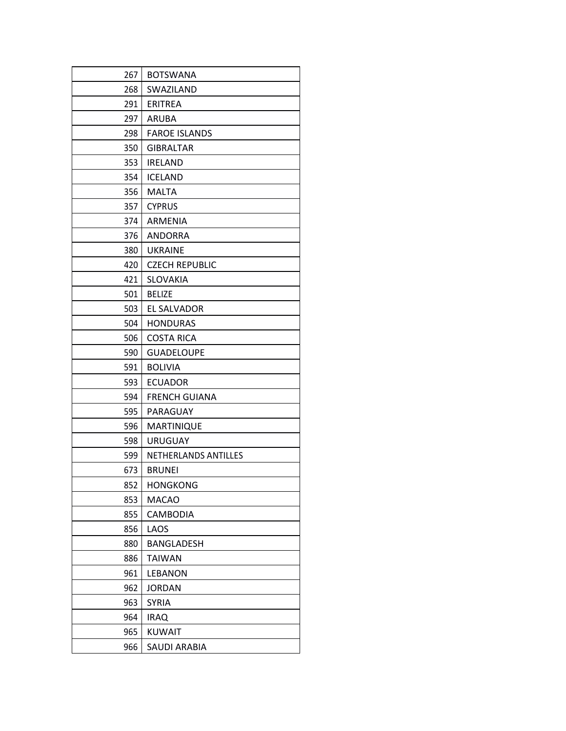| 267 | <b>BOTSWANA</b>             |
|-----|-----------------------------|
| 268 | SWAZILAND                   |
| 291 | <b>ERITREA</b>              |
| 297 | <b>ARUBA</b>                |
| 298 | <b>FAROE ISLANDS</b>        |
| 350 | <b>GIBRALTAR</b>            |
| 353 | <b>IRELAND</b>              |
| 354 | <b>ICELAND</b>              |
| 356 | MALTA                       |
| 357 | <b>CYPRUS</b>               |
| 374 | <b>ARMENIA</b>              |
| 376 | ANDORRA                     |
| 380 | <b>UKRAINE</b>              |
| 420 | <b>CZECH REPUBLIC</b>       |
| 421 | <b>SLOVAKIA</b>             |
| 501 | <b>BELIZE</b>               |
| 503 | EL SALVADOR                 |
| 504 | <b>HONDURAS</b>             |
| 506 | <b>COSTA RICA</b>           |
| 590 | <b>GUADELOUPE</b>           |
| 591 | <b>BOLIVIA</b>              |
| 593 | <b>ECUADOR</b>              |
| 594 | <b>FRENCH GUIANA</b>        |
| 595 | PARAGUAY                    |
| 596 | <b>MARTINIQUE</b>           |
| 598 | <b>URUGUAY</b>              |
| 599 | <b>NETHERLANDS ANTILLES</b> |
| 673 | <b>BRUNEI</b>               |
| 852 | <b>HONGKONG</b>             |
| 853 | <b>MACAO</b>                |
| 855 | CAMBODIA                    |
| 856 | LAOS                        |
| 880 | BANGLADESH                  |
| 886 | <b>TAIWAN</b>               |
| 961 | <b>LEBANON</b>              |
| 962 | <b>JORDAN</b>               |
| 963 | <b>SYRIA</b>                |
| 964 | <b>IRAQ</b>                 |
| 965 | <b>KUWAIT</b>               |
| 966 | SAUDI ARABIA                |